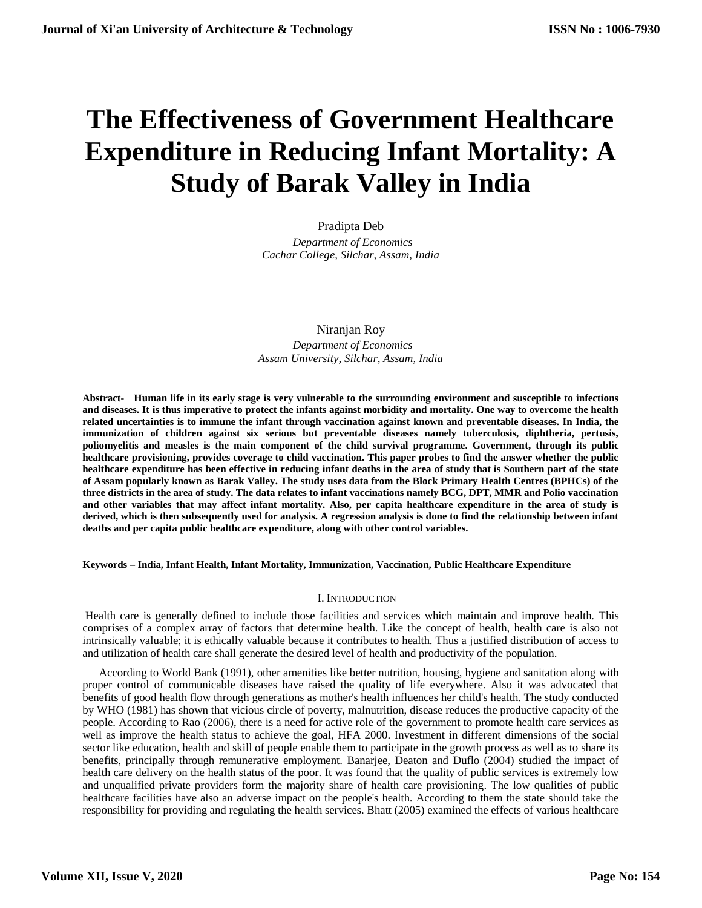# **The Effectiveness of Government Healthcare Expenditure in Reducing Infant Mortality: A Study of Barak Valley in India**

Pradipta Deb  *Department of Economics Cachar College, Silchar, Assam, India*

Niranjan Roy  *Department of Economics Assam University, Silchar, Assam, India*

**Abstract- Human life in its early stage is very vulnerable to the surrounding environment and susceptible to infections and diseases. It is thus imperative to protect the infants against morbidity and mortality. One way to overcome the health related uncertainties is to immune the infant through vaccination against known and preventable diseases. In India, the immunization of children against six serious but preventable diseases namely tuberculosis, diphtheria, pertusis, poliomyelitis and measles is the main component of the child survival programme. Government, through its public healthcare provisioning, provides coverage to child vaccination. This paper probes to find the answer whether the public healthcare expenditure has been effective in reducing infant deaths in the area of study that is Southern part of the state of Assam popularly known as Barak Valley. The study uses data from the Block Primary Health Centres (BPHCs) of the three districts in the area of study. The data relates to infant vaccinations namely BCG, DPT, MMR and Polio vaccination and other variables that may affect infant mortality. Also, per capita healthcare expenditure in the area of study is derived, which is then subsequently used for analysis. A regression analysis is done to find the relationship between infant deaths and per capita public healthcare expenditure, along with other control variables.**

**Keywords – India, Infant Health, Infant Mortality, Immunization, Vaccination, Public Healthcare Expenditure**

## I. INTRODUCTION

Health care is generally defined to include those facilities and services which maintain and improve health. This comprises of a complex array of factors that determine health. Like the concept of health, health care is also not intrinsically valuable; it is ethically valuable because it contributes to health. Thus a justified distribution of access to and utilization of health care shall generate the desired level of health and productivity of the population.

According to World Bank (1991), other amenities like better nutrition, housing, hygiene and sanitation along with proper control of communicable diseases have raised the quality of life everywhere. Also it was advocated that benefits of good health flow through generations as mother's health influences her child's health. The study conducted by WHO (1981) has shown that vicious circle of poverty, malnutrition, disease reduces the productive capacity of the people. According to Rao (2006), there is a need for active role of the government to promote health care services as well as improve the health status to achieve the goal, HFA 2000. Investment in different dimensions of the social sector like education, health and skill of people enable them to participate in the growth process as well as to share its benefits, principally through remunerative employment. Banarjee, Deaton and Duflo (2004) studied the impact of health care delivery on the health status of the poor. It was found that the quality of public services is extremely low and unqualified private providers form the majority share of health care provisioning. The low qualities of public healthcare facilities have also an adverse impact on the people's health. According to them the state should take the responsibility for providing and regulating the health services. Bhatt (2005) examined the effects of various healthcare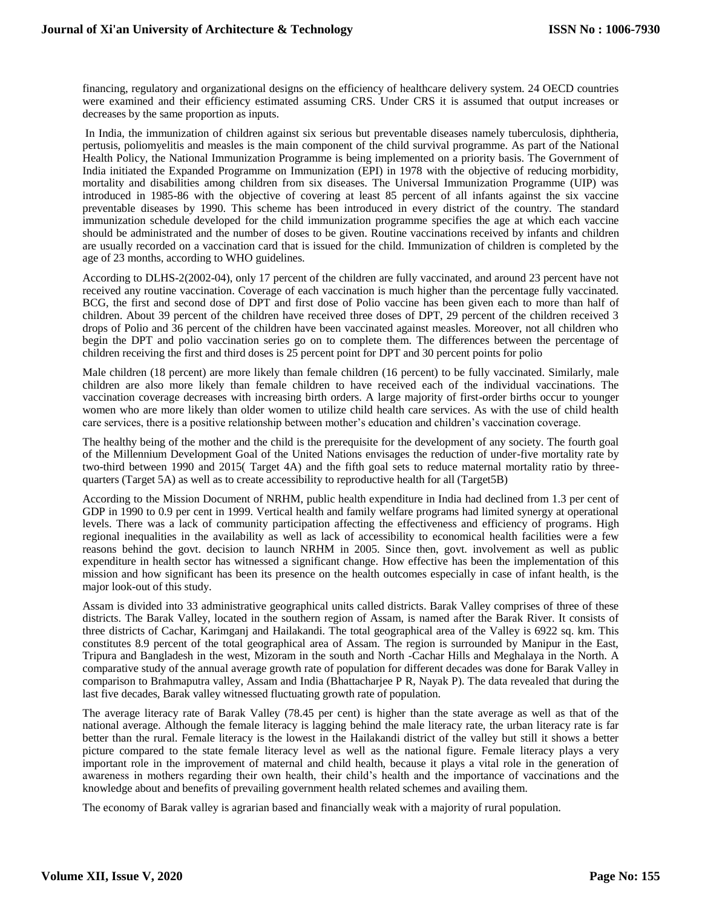financing, regulatory and organizational designs on the efficiency of healthcare delivery system. 24 OECD countries were examined and their efficiency estimated assuming CRS. Under CRS it is assumed that output increases or decreases by the same proportion as inputs.

In India, the immunization of children against six serious but preventable diseases namely tuberculosis, diphtheria, pertusis, poliomyelitis and measles is the main component of the child survival programme. As part of the National Health Policy, the National Immunization Programme is being implemented on a priority basis. The Government of India initiated the Expanded Programme on Immunization (EPI) in 1978 with the objective of reducing morbidity, mortality and disabilities among children from six diseases. The Universal Immunization Programme (UIP) was introduced in 1985-86 with the objective of covering at least 85 percent of all infants against the six vaccine preventable diseases by 1990. This scheme has been introduced in every district of the country. The standard immunization schedule developed for the child immunization programme specifies the age at which each vaccine should be administrated and the number of doses to be given. Routine vaccinations received by infants and children are usually recorded on a vaccination card that is issued for the child. Immunization of children is completed by the age of 23 months, according to WHO guidelines.

According to DLHS-2(2002-04), only 17 percent of the children are fully vaccinated, and around 23 percent have not received any routine vaccination. Coverage of each vaccination is much higher than the percentage fully vaccinated. BCG, the first and second dose of DPT and first dose of Polio vaccine has been given each to more than half of children. About 39 percent of the children have received three doses of DPT, 29 percent of the children received 3 drops of Polio and 36 percent of the children have been vaccinated against measles. Moreover, not all children who begin the DPT and polio vaccination series go on to complete them. The differences between the percentage of children receiving the first and third doses is 25 percent point for DPT and 30 percent points for polio

Male children (18 percent) are more likely than female children (16 percent) to be fully vaccinated. Similarly, male children are also more likely than female children to have received each of the individual vaccinations. The vaccination coverage decreases with increasing birth orders. A large majority of first-order births occur to younger women who are more likely than older women to utilize child health care services. As with the use of child health care services, there is a positive relationship between mother's education and children's vaccination coverage.

The healthy being of the mother and the child is the prerequisite for the development of any society. The fourth goal of the Millennium Development Goal of the United Nations envisages the reduction of under-five mortality rate by two-third between 1990 and 2015( Target 4A) and the fifth goal sets to reduce maternal mortality ratio by threequarters (Target 5A) as well as to create accessibility to reproductive health for all (Target5B)

According to the Mission Document of NRHM, public health expenditure in India had declined from 1.3 per cent of GDP in 1990 to 0.9 per cent in 1999. Vertical health and family welfare programs had limited synergy at operational levels. There was a lack of community participation affecting the effectiveness and efficiency of programs. High regional inequalities in the availability as well as lack of accessibility to economical health facilities were a few reasons behind the govt. decision to launch NRHM in 2005. Since then, govt. involvement as well as public expenditure in health sector has witnessed a significant change. How effective has been the implementation of this mission and how significant has been its presence on the health outcomes especially in case of infant health, is the major look-out of this study.

Assam is divided into 33 administrative geographical units called districts. Barak Valley comprises of three of these districts. The Barak Valley, located in the southern region of Assam, is named after the Barak River. It consists of three districts of Cachar, Karimganj and Hailakandi. The total geographical area of the Valley is 6922 sq. km. This constitutes 8.9 percent of the total geographical area of Assam. The region is surrounded by Manipur in the East, Tripura and Bangladesh in the west, Mizoram in the south and North -Cachar Hills and Meghalaya in the North. A comparative study of the annual average growth rate of population for different decades was done for Barak Valley in comparison to Brahmaputra valley, Assam and India (Bhattacharjee P R, Nayak P). The data revealed that during the last five decades, Barak valley witnessed fluctuating growth rate of population.

The average literacy rate of Barak Valley (78.45 per cent) is higher than the state average as well as that of the national average. Although the female literacy is lagging behind the male literacy rate, the urban literacy rate is far better than the rural. Female literacy is the lowest in the Hailakandi district of the valley but still it shows a better picture compared to the state female literacy level as well as the national figure. Female literacy plays a very important role in the improvement of maternal and child health, because it plays a vital role in the generation of awareness in mothers regarding their own health, their child's health and the importance of vaccinations and the knowledge about and benefits of prevailing government health related schemes and availing them.

The economy of Barak valley is agrarian based and financially weak with a majority of rural population.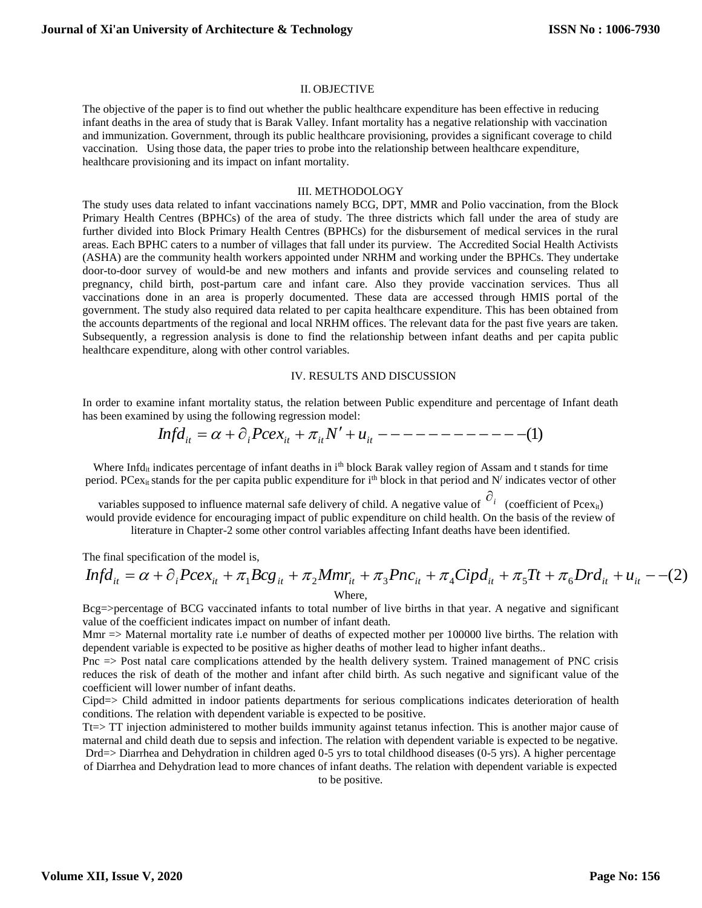# II. OBJECTIVE

The objective of the paper is to find out whether the public healthcare expenditure has been effective in reducing infant deaths in the area of study that is Barak Valley. Infant mortality has a negative relationship with vaccination and immunization. Government, through its public healthcare provisioning, provides a significant coverage to child vaccination. Using those data, the paper tries to probe into the relationship between healthcare expenditure, healthcare provisioning and its impact on infant mortality.

## III. METHODOLOGY

The study uses data related to infant vaccinations namely BCG, DPT, MMR and Polio vaccination, from the Block Primary Health Centres (BPHCs) of the area of study. The three districts which fall under the area of study are further divided into Block Primary Health Centres (BPHCs) for the disbursement of medical services in the rural areas. Each BPHC caters to a number of villages that fall under its purview. The Accredited Social Health Activists (ASHA) are the community health workers appointed under NRHM and working under the BPHCs. They undertake door-to-door survey of would-be and new mothers and infants and provide services and counseling related to pregnancy, child birth, post-partum care and infant care. Also they provide vaccination services. Thus all vaccinations done in an area is properly documented. These data are accessed through HMIS portal of the government. The study also required data related to per capita healthcare expenditure. This has been obtained from the accounts departments of the regional and local NRHM offices. The relevant data for the past five years are taken. Subsequently, a regression analysis is done to find the relationship between infant deaths and per capita public healthcare expenditure, along with other control variables.

#### IV. RESULTS AND DISCUSSION

In order to examine infant mortality status, the relation between Public expenditure and percentage of Infant death has been examined by using the following regression model:

 (1) *it <sup>i</sup>Pcexit itN <sup>u</sup>it Infd*

Where Infd<sub>it</sub> indicates percentage of infant deaths in i<sup>th</sup> block Barak valley region of Assam and t stands for time period. PCex<sub>it</sub> stands for the per capita public expenditure for i<sup>th</sup> block in that period and N<sup>/</sup> indicates vector of other

variables supposed to influence maternal safe delivery of child. A negative value of  $\hat{c}_i$  (coefficient of Pcex<sub>it</sub>) would provide evidence for encouraging impact of public expenditure on child health. On the basis of the review of

literature in Chapter-2 some other control variables affecting Infant deaths have been identified.

The final specification of the model is,

$$
Infd_{it} = \alpha + \partial_i Pce_{it} + \pi_1 Bcg_{it} + \pi_2 Mmr_{it} + \pi_3 Pnc_{it} + \pi_4 Cipd_{it} + \pi_5 Tt + \pi_6 Drd_{it} + u_{it} - (2)
$$
  
Where,

Bcg=>percentage of BCG vaccinated infants to total number of live births in that year. A negative and significant value of the coefficient indicates impact on number of infant death.

Mmr => Maternal mortality rate i.e number of deaths of expected mother per 100000 live births. The relation with dependent variable is expected to be positive as higher deaths of mother lead to higher infant deaths..

Pnc => Post natal care complications attended by the health delivery system. Trained management of PNC crisis reduces the risk of death of the mother and infant after child birth. As such negative and significant value of the coefficient will lower number of infant deaths.

Cipd=> Child admitted in indoor patients departments for serious complications indicates deterioration of health conditions. The relation with dependent variable is expected to be positive.

Tt=> TT injection administered to mother builds immunity against tetanus infection. This is another major cause of maternal and child death due to sepsis and infection. The relation with dependent variable is expected to be negative. Drd=> Diarrhea and Dehydration in children aged 0-5 yrs to total childhood diseases (0-5 yrs). A higher percentage of Diarrhea and Dehydration lead to more chances of infant deaths. The relation with dependent variable is expected to be positive.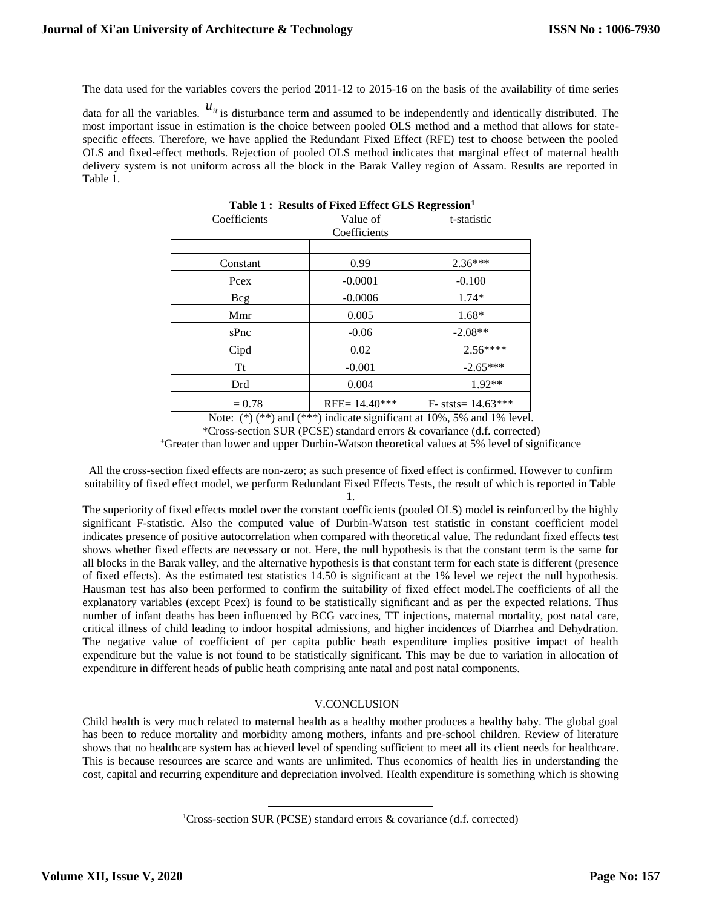The data used for the variables covers the period 2011-12 to 2015-16 on the basis of the availability of time series

data for all the variables.  $u_{it}$  is disturbance term and assumed to be independently and identically distributed. The most important issue in estimation is the choice between pooled OLS method and a method that allows for statespecific effects. Therefore, we have applied the Redundant Fixed Effect (RFE) test to choose between the pooled OLS and fixed-effect methods. Rejection of pooled OLS method indicates that marginal effect of maternal health delivery system is not uniform across all the block in the Barak Valley region of Assam. Results are reported in Table 1.

| Table 1: Results of Fixed Effect GLS Regression <sup>1</sup> |                 |                      |
|--------------------------------------------------------------|-----------------|----------------------|
| Coefficients                                                 | Value of        | t-statistic          |
| Coefficients                                                 |                 |                      |
|                                                              |                 |                      |
| Constant                                                     | 0.99            | $2.36***$            |
| Pcex                                                         | $-0.0001$       | $-0.100$             |
| Bcg                                                          | $-0.0006$       | $1.74*$              |
| Mmr                                                          | 0.005           | $1.68*$              |
| s <sub>Pnc</sub>                                             | $-0.06$         | $-2.08**$            |
| Cipd                                                         | 0.02            | $2.56***$            |
| Tt                                                           | $-0.001$        | $-2.65***$           |
| Drd                                                          | 0.004           | $1.92**$             |
| $= 0.78$                                                     | RFE= $14.40***$ | $F-$ ststs= 14.63*** |

Note:  $(*)$  (\*\*) and (\*\*\*) indicate significant at 10%, 5% and 1% level.

\*Cross-section SUR (PCSE) standard errors & covariance (d.f. corrected)

<sup>+</sup>Greater than lower and upper Durbin-Watson theoretical values at 5% level of significance

All the cross-section fixed effects are non-zero; as such presence of fixed effect is confirmed. However to confirm suitability of fixed effect model, we perform Redundant Fixed Effects Tests, the result of which is reported in Table 1.

The superiority of fixed effects model over the constant coefficients (pooled OLS) model is reinforced by the highly significant F-statistic. Also the computed value of Durbin-Watson test statistic in constant coefficient model indicates presence of positive autocorrelation when compared with theoretical value. The redundant fixed effects test shows whether fixed effects are necessary or not. Here, the null hypothesis is that the constant term is the same for all blocks in the Barak valley, and the alternative hypothesis is that constant term for each state is different (presence of fixed effects). As the estimated test statistics 14.50 is significant at the 1% level we reject the null hypothesis. Hausman test has also been performed to confirm the suitability of fixed effect model.The coefficients of all the explanatory variables (except Pcex) is found to be statistically significant and as per the expected relations. Thus number of infant deaths has been influenced by BCG vaccines, TT injections, maternal mortality, post natal care, critical illness of child leading to indoor hospital admissions, and higher incidences of Diarrhea and Dehydration. The negative value of coefficient of per capita public heath expenditure implies positive impact of health expenditure but the value is not found to be statistically significant. This may be due to variation in allocation of expenditure in different heads of public heath comprising ante natal and post natal components.

#### V.CONCLUSION

Child health is very much related to maternal health as a healthy mother produces a healthy baby. The global goal has been to reduce mortality and morbidity among mothers, infants and pre-school children. Review of literature shows that no healthcare system has achieved level of spending sufficient to meet all its client needs for healthcare. This is because resources are scarce and wants are unlimited. Thus economics of health lies in understanding the cost, capital and recurring expenditure and depreciation involved. Health expenditure is something which is showing

l

<sup>&</sup>lt;sup>1</sup>Cross-section SUR (PCSE) standard errors & covariance (d.f. corrected)